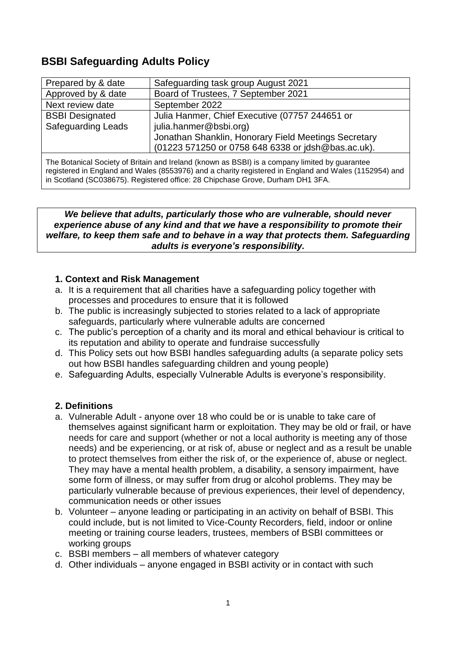# **BSBI Safeguarding Adults Policy**

| Prepared by & date                                  | Safeguarding task group August 2021                                                                                                                                                    |
|-----------------------------------------------------|----------------------------------------------------------------------------------------------------------------------------------------------------------------------------------------|
| Approved by & date                                  | Board of Trustees, 7 September 2021                                                                                                                                                    |
| Next review date                                    | September 2022                                                                                                                                                                         |
| <b>BSBI Designated</b><br><b>Safeguarding Leads</b> | Julia Hanmer, Chief Executive (07757 244651 or<br>julia.hanmer@bsbi.org)<br>Jonathan Shanklin, Honorary Field Meetings Secretary<br>(01223 571250 or 0758 648 6338 or jdsh@bas.ac.uk). |
|                                                     |                                                                                                                                                                                        |

The Botanical Society of Britain and Ireland (known as BSBI) is a company limited by guarantee registered in England and Wales (8553976) and a charity registered in England and Wales (1152954) and in Scotland (SC038675). Registered office: 28 Chipchase Grove, Durham DH1 3FA.

*We believe that adults, particularly those who are vulnerable, should never experience abuse of any kind and that we have a responsibility to promote their welfare, to keep them safe and to behave in a way that protects them. Safeguarding adults is everyone's responsibility.*

### **1. Context and Risk Management**

- a. It is a requirement that all charities have a safeguarding policy together with processes and procedures to ensure that it is followed
- b. The public is increasingly subjected to stories related to a lack of appropriate safeguards, particularly where vulnerable adults are concerned
- c. The public's perception of a charity and its moral and ethical behaviour is critical to its reputation and ability to operate and fundraise successfully
- d. This Policy sets out how BSBI handles safeguarding adults (a separate policy sets out how BSBI handles safeguarding children and young people)
- e. Safeguarding Adults, especially Vulnerable Adults is everyone's responsibility.

## **2. Definitions**

- a. Vulnerable Adult anyone over 18 who could be or is unable to take care of themselves against significant harm or exploitation. They may be old or frail, or have needs for care and support (whether or not a local authority is meeting any of those needs) and be experiencing, or at risk of, abuse or neglect and as a result be unable to protect themselves from either the risk of, or the experience of, abuse or neglect. They may have a mental health problem, a disability, a sensory impairment, have some form of illness, or may suffer from drug or alcohol problems. They may be particularly vulnerable because of previous experiences, their level of dependency, communication needs or other issues
- b. Volunteer anyone leading or participating in an activity on behalf of BSBI. This could include, but is not limited to Vice-County Recorders, field, indoor or online meeting or training course leaders, trustees, members of BSBI committees or working groups
- c. BSBI members all members of whatever category
- d. Other individuals anyone engaged in BSBI activity or in contact with such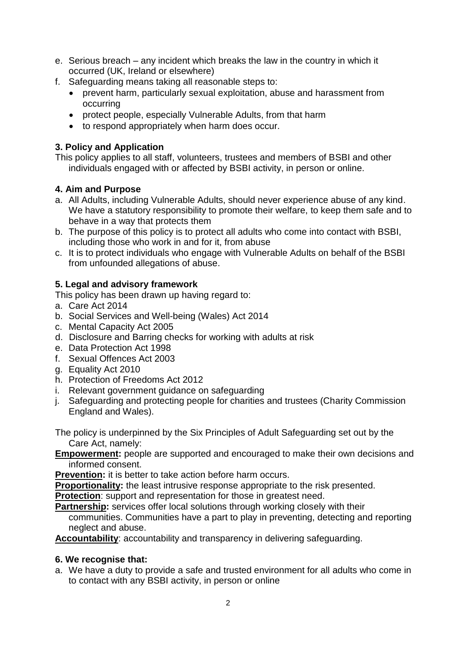- e. Serious breach any incident which breaks the law in the country in which it occurred (UK, Ireland or elsewhere)
- f. Safeguarding means taking all reasonable steps to:
	- prevent harm, particularly sexual exploitation, abuse and harassment from occurring
	- protect people, especially Vulnerable Adults, from that harm
	- to respond appropriately when harm does occur.

# **3. Policy and Application**

This policy applies to all staff, volunteers, trustees and members of BSBI and other individuals engaged with or affected by BSBI activity, in person or online.

# **4. Aim and Purpose**

- a. All Adults, including Vulnerable Adults, should never experience abuse of any kind. We have a statutory responsibility to promote their welfare, to keep them safe and to behave in a way that protects them
- b. The purpose of this policy is to protect all adults who come into contact with BSBI, including those who work in and for it, from abuse
- c. It is to protect individuals who engage with Vulnerable Adults on behalf of the BSBI from unfounded allegations of abuse.

# **5. Legal and advisory framework**

This policy has been drawn up having regard to:

- a. Care Act 2014
- b. Social Services and Well-being (Wales) Act 2014
- c. Mental Capacity Act 2005
- d. Disclosure and Barring checks for working with adults at risk
- e. Data Protection Act 1998
- f. Sexual Offences Act 2003
- g. Equality Act 2010
- h. Protection of Freedoms Act 2012
- i. Relevant government guidance on safeguarding
- j. Safeguarding and protecting people for charities and trustees (Charity Commission England and Wales).
- The policy is underpinned by the Six Principles of Adult Safeguarding set out by the Care Act, namely:
- **Empowerment:** people are supported and encouraged to make their own decisions and informed consent.

**Prevention:** it is better to take action before harm occurs.

**Proportionality:** the least intrusive response appropriate to the risk presented.

**Protection:** support and representation for those in greatest need.

**Partnership:** services offer local solutions through working closely with their

communities. Communities have a part to play in preventing, detecting and reporting neglect and abuse.

**Accountability**: accountability and transparency in delivering safeguarding.

# **6. We recognise that:**

a. We have a duty to provide a safe and trusted environment for all adults who come in to contact with any BSBI activity, in person or online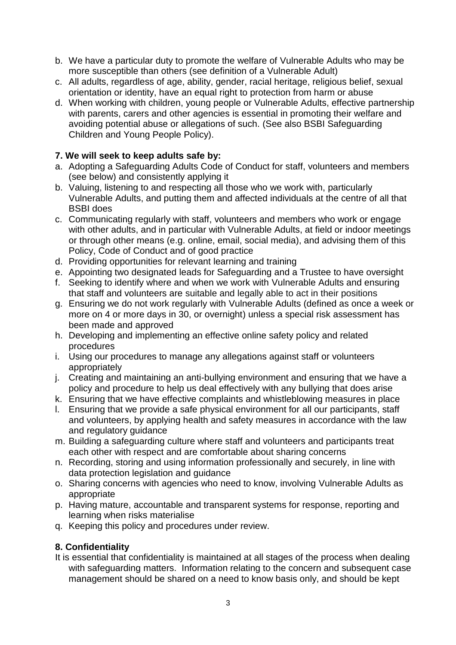- b. We have a particular duty to promote the welfare of Vulnerable Adults who may be more susceptible than others (see definition of a Vulnerable Adult)
- c. All adults, regardless of age, ability, gender, racial heritage, religious belief, sexual orientation or identity, have an equal right to protection from harm or abuse
- d. When working with children, young people or Vulnerable Adults, effective partnership with parents, carers and other agencies is essential in promoting their welfare and avoiding potential abuse or allegations of such. (See also BSBI Safeguarding Children and Young People Policy).

# **7. We will seek to keep adults safe by:**

- a. Adopting a Safeguarding Adults Code of Conduct for staff, volunteers and members (see below) and consistently applying it
- b. Valuing, listening to and respecting all those who we work with, particularly Vulnerable Adults, and putting them and affected individuals at the centre of all that BSBI does
- c. Communicating regularly with staff, volunteers and members who work or engage with other adults, and in particular with Vulnerable Adults, at field or indoor meetings or through other means (e.g. online, email, social media), and advising them of this Policy, Code of Conduct and of good practice
- d. Providing opportunities for relevant learning and training
- e. Appointing two designated leads for Safeguarding and a Trustee to have oversight
- f. Seeking to identify where and when we work with Vulnerable Adults and ensuring that staff and volunteers are suitable and legally able to act in their positions
- g. Ensuring we do not work regularly with Vulnerable Adults (defined as once a week or more on 4 or more days in 30, or overnight) unless a special risk assessment has been made and approved
- h. Developing and implementing an effective online safety policy and related procedures
- i. Using our procedures to manage any allegations against staff or volunteers appropriately
- j. Creating and maintaining an anti-bullying environment and ensuring that we have a policy and procedure to help us deal effectively with any bullying that does arise
- k. Ensuring that we have effective complaints and whistleblowing measures in place
- l. Ensuring that we provide a safe physical environment for all our participants, staff and volunteers, by applying health and safety measures in accordance with the law and regulatory guidance
- m. Building a safeguarding culture where staff and volunteers and participants treat each other with respect and are comfortable about sharing concerns
- n. Recording, storing and using information professionally and securely, in line with data protection legislation and guidance
- o. Sharing concerns with agencies who need to know, involving Vulnerable Adults as appropriate
- p. Having mature, accountable and transparent systems for response, reporting and learning when risks materialise
- q. Keeping this policy and procedures under review.

## **8. Confidentiality**

It is essential that confidentiality is maintained at all stages of the process when dealing with safeguarding matters. Information relating to the concern and subsequent case management should be shared on a need to know basis only, and should be kept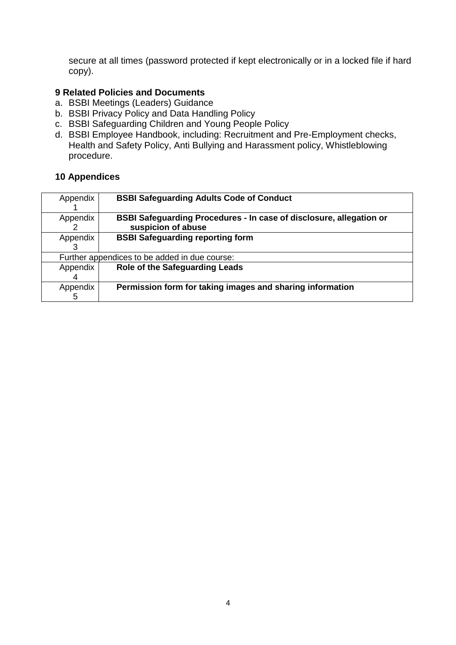secure at all times (password protected if kept electronically or in a locked file if hard copy).

## **9 Related Policies and Documents**

- a. BSBI Meetings (Leaders) Guidance
- b. BSBI Privacy Policy and Data Handling Policy
- c. BSBI Safeguarding Children and Young People Policy
- d. BSBI Employee Handbook, including: Recruitment and Pre-Employment checks, Health and Safety Policy, Anti Bullying and Harassment policy, Whistleblowing procedure.

## **10 Appendices**

| Appendix                                      | <b>BSBI Safeguarding Adults Code of Conduct</b>                            |  |  |  |
|-----------------------------------------------|----------------------------------------------------------------------------|--|--|--|
| Appendix                                      | <b>BSBI Safeguarding Procedures - In case of disclosure, allegation or</b> |  |  |  |
|                                               | suspicion of abuse                                                         |  |  |  |
| Appendix                                      | <b>BSBI Safeguarding reporting form</b>                                    |  |  |  |
|                                               |                                                                            |  |  |  |
| Further appendices to be added in due course: |                                                                            |  |  |  |
| Appendix                                      | Role of the Safeguarding Leads                                             |  |  |  |
|                                               |                                                                            |  |  |  |
| Appendix                                      | Permission form for taking images and sharing information                  |  |  |  |
| 5                                             |                                                                            |  |  |  |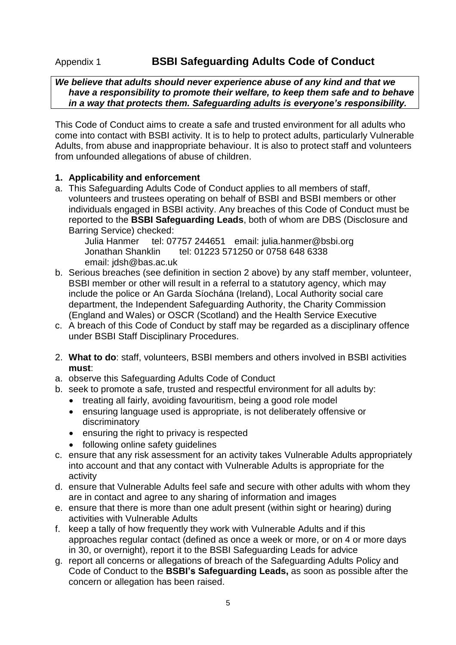# Appendix 1 **BSBI Safeguarding Adults Code of Conduct**

### *We believe that adults should never experience abuse of any kind and that we have a responsibility to promote their welfare, to keep them safe and to behave in a way that protects them. Safeguarding adults is everyone's responsibility.*

This Code of Conduct aims to create a safe and trusted environment for all adults who come into contact with BSBI activity. It is to help to protect adults, particularly Vulnerable Adults, from abuse and inappropriate behaviour. It is also to protect staff and volunteers from unfounded allegations of abuse of children.

### **1. Applicability and enforcement**

a. This Safeguarding Adults Code of Conduct applies to all members of staff, volunteers and trustees operating on behalf of BSBI and BSBI members or other individuals engaged in BSBI activity. Any breaches of this Code of Conduct must be reported to the **BSBI Safeguarding Leads**, both of whom are DBS (Disclosure and Barring Service) checked:

Julia Hanmer tel: 07757 244651 email: julia.hanmer@bsbi.org Jonathan Shanklin tel: 01223 571250 or 0758 648 6338 email: jdsh@bas.ac.uk

- b. Serious breaches (see definition in section 2 above) by any staff member, volunteer, BSBI member or other will result in a referral to a statutory agency, which may include the police or An Garda Síochána (Ireland), Local Authority social care department, the Independent Safeguarding Authority, the Charity Commission (England and Wales) or OSCR (Scotland) and the Health Service Executive
- c. A breach of this Code of Conduct by staff may be regarded as a disciplinary offence under BSBI Staff Disciplinary Procedures.
- 2. **What to do**: staff, volunteers, BSBI members and others involved in BSBI activities **must**:
- a. observe this Safeguarding Adults Code of Conduct
- b. seek to promote a safe, trusted and respectful environment for all adults by:
	- treating all fairly, avoiding favouritism, being a good role model
	- ensuring language used is appropriate, is not deliberately offensive or discriminatory
	- ensuring the right to privacy is respected
	- following online safety quidelines
- c. ensure that any risk assessment for an activity takes Vulnerable Adults appropriately into account and that any contact with Vulnerable Adults is appropriate for the activity
- d. ensure that Vulnerable Adults feel safe and secure with other adults with whom they are in contact and agree to any sharing of information and images
- e. ensure that there is more than one adult present (within sight or hearing) during activities with Vulnerable Adults
- f. keep a tally of how frequently they work with Vulnerable Adults and if this approaches regular contact (defined as once a week or more, or on 4 or more days in 30, or overnight), report it to the BSBI Safeguarding Leads for advice
- g. report all concerns or allegations of breach of the Safeguarding Adults Policy and Code of Conduct to the **BSBI's Safeguarding Leads,** as soon as possible after the concern or allegation has been raised.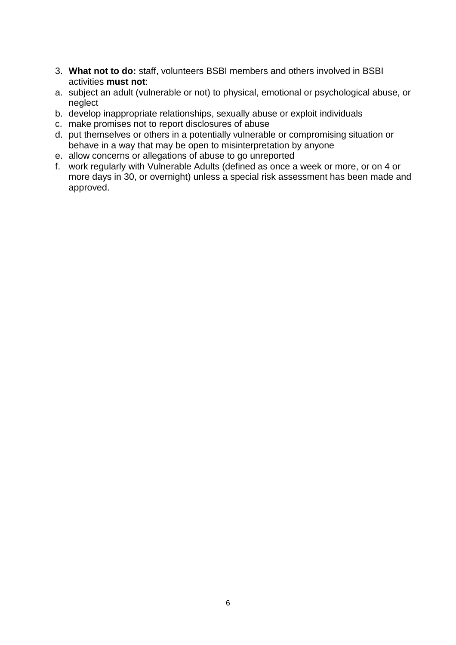- 3. **What not to do:** staff, volunteers BSBI members and others involved in BSBI activities **must not**:
- a. subject an adult (vulnerable or not) to physical, emotional or psychological abuse, or neglect
- b. develop inappropriate relationships, sexually abuse or exploit individuals
- c. make promises not to report disclosures of abuse
- d. put themselves or others in a potentially vulnerable or compromising situation or behave in a way that may be open to misinterpretation by anyone
- e. allow concerns or allegations of abuse to go unreported
- f. work regularly with Vulnerable Adults (defined as once a week or more, or on 4 or more days in 30, or overnight) unless a special risk assessment has been made and approved.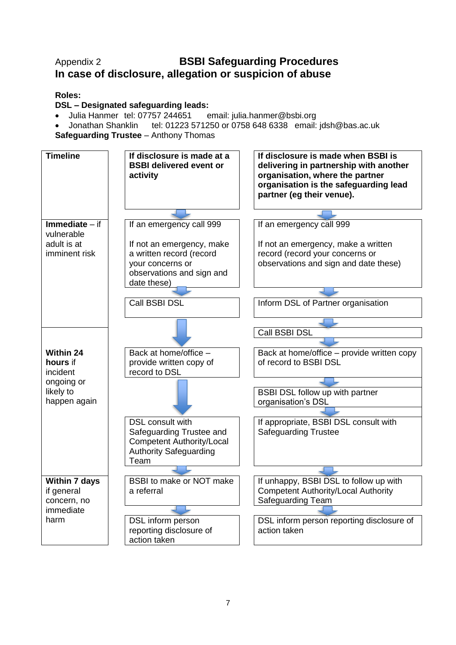# Appendix 2 **BSBI Safeguarding Procedures In case of disclosure, allegation or suspicion of abuse**

# **Roles:**

## **DSL – Designated safeguarding leads:**

- Julia Hanmer tel: 07757 244651 email: julia.hanmer@bsbi.org
- Jonathan Shanklin tel: 01223 571250 or 0758 648 6338 email: jdsh@bas.ac.uk
- **Safeguarding Trustee** Anthony Thomas

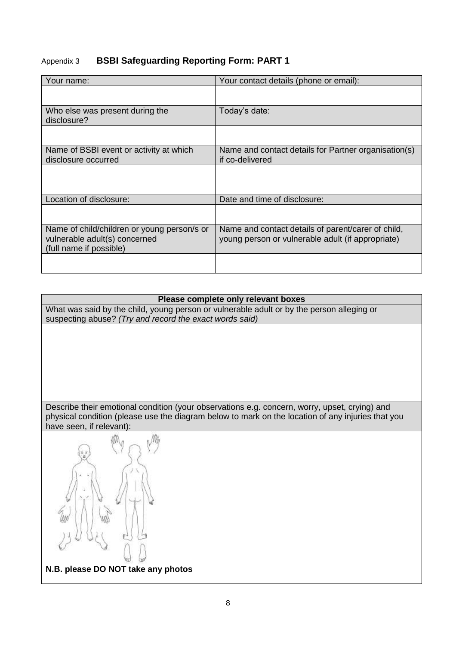# Appendix 3 **BSBI Safeguarding Reporting Form: PART 1**

| Your name:                                                                                              | Your contact details (phone or email):                                                                  |
|---------------------------------------------------------------------------------------------------------|---------------------------------------------------------------------------------------------------------|
|                                                                                                         |                                                                                                         |
| Who else was present during the<br>disclosure?                                                          | Today's date:                                                                                           |
|                                                                                                         |                                                                                                         |
| Name of BSBI event or activity at which<br>disclosure occurred                                          | Name and contact details for Partner organisation(s)<br>if co-delivered                                 |
|                                                                                                         |                                                                                                         |
| Location of disclosure:                                                                                 | Date and time of disclosure:                                                                            |
|                                                                                                         |                                                                                                         |
| Name of child/children or young person/s or<br>vulnerable adult(s) concerned<br>(full name if possible) | Name and contact details of parent/carer of child,<br>young person or vulnerable adult (if appropriate) |
|                                                                                                         |                                                                                                         |

### **Please complete only relevant boxes**

What was said by the child, young person or vulnerable adult or by the person alleging or suspecting abuse? *(Try and record the exact words said)*

Describe their emotional condition (your observations e.g. concern, worry, upset, crying) and physical condition (please use the diagram below to mark on the location of any injuries that you have seen, if relevant):



**N.B. please DO NOT take any photos**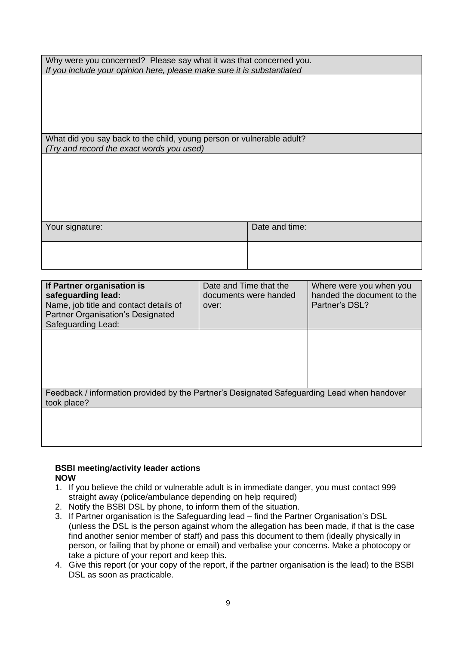| Why were you concerned? Please say what it was that concerned you.     |  |  |  |  |  |
|------------------------------------------------------------------------|--|--|--|--|--|
| If you include your opinion here, please make sure it is substantiated |  |  |  |  |  |

What did you say back to the child, young person or vulnerable adult? *(Try and record the exact words you used)*

| Your signature: | Date and time: |
|-----------------|----------------|
|                 |                |

| If Partner organisation is<br>safeguarding lead:<br>Name, job title and contact details of<br><b>Partner Organisation's Designated</b><br>Safeguarding Lead: | Date and Time that the<br>documents were handed<br>over: | Where were you when you<br>handed the document to the<br>Partner's DSL? |  |  |  |
|--------------------------------------------------------------------------------------------------------------------------------------------------------------|----------------------------------------------------------|-------------------------------------------------------------------------|--|--|--|
|                                                                                                                                                              |                                                          |                                                                         |  |  |  |
| Feedback / information provided by the Partner's Designated Safeguarding Lead when handover<br>took place?                                                   |                                                          |                                                                         |  |  |  |
|                                                                                                                                                              |                                                          |                                                                         |  |  |  |

#### **BSBI meeting/activity leader actions NOW**

- 1. If you believe the child or vulnerable adult is in immediate danger, you must contact 999 straight away (police/ambulance depending on help required)
- 2. Notify the BSBI DSL by phone, to inform them of the situation.
- 3. If Partner organisation is the Safeguarding lead find the Partner Organisation's DSL (unless the DSL is the person against whom the allegation has been made, if that is the case find another senior member of staff) and pass this document to them (ideally physically in person, or failing that by phone or email) and verbalise your concerns. Make a photocopy or take a picture of your report and keep this.
- 4. Give this report (or your copy of the report, if the partner organisation is the lead) to the BSBI DSL as soon as practicable.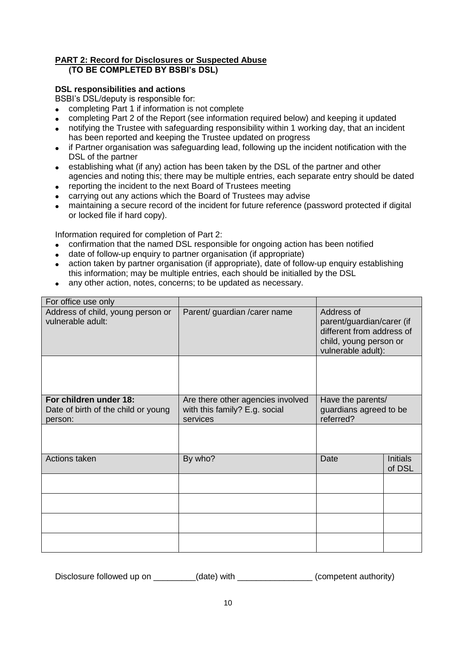#### **PART 2: Record for Disclosures or Suspected Abuse (TO BE COMPLETED BY BSBI's DSL)**

### **DSL responsibilities and actions**

BSBI's DSL/deputy is responsible for:

- completing Part 1 if information is not complete
- completing Part 2 of the Report (see information required below) and keeping it updated
- notifying the Trustee with safeguarding responsibility within 1 working day, that an incident has been reported and keeping the Trustee updated on progress
- if Partner organisation was safeguarding lead, following up the incident notification with the DSL of the partner
- establishing what (if any) action has been taken by the DSL of the partner and other agencies and noting this; there may be multiple entries, each separate entry should be dated
- reporting the incident to the next Board of Trustees meeting
- carrying out any actions which the Board of Trustees may advise
- maintaining a secure record of the incident for future reference (password protected if digital or locked file if hard copy).

Information required for completion of Part 2:

- confirmation that the named DSL responsible for ongoing action has been notified
- date of follow-up enquiry to partner organisation (if appropriate)
- action taken by partner organisation (if appropriate), date of follow-up enquiry establishing this information; may be multiple entries, each should be initialled by the DSL
- any other action, notes, concerns; to be updated as necessary.

| For office use only                                                      |                                                                                |                                                                                                                      |                           |
|--------------------------------------------------------------------------|--------------------------------------------------------------------------------|----------------------------------------------------------------------------------------------------------------------|---------------------------|
| Address of child, young person or<br>vulnerable adult:                   | Parent/ guardian / carer name                                                  | Address of<br>parent/guardian/carer (if<br>different from address of<br>child, young person or<br>vulnerable adult): |                           |
|                                                                          |                                                                                |                                                                                                                      |                           |
| For children under 18:<br>Date of birth of the child or young<br>person: | Are there other agencies involved<br>with this family? E.g. social<br>services | Have the parents/<br>guardians agreed to be<br>referred?                                                             |                           |
|                                                                          |                                                                                |                                                                                                                      |                           |
| Actions taken                                                            | By who?                                                                        | Date                                                                                                                 | <b>Initials</b><br>of DSL |
|                                                                          |                                                                                |                                                                                                                      |                           |
|                                                                          |                                                                                |                                                                                                                      |                           |
|                                                                          |                                                                                |                                                                                                                      |                           |
|                                                                          |                                                                                |                                                                                                                      |                           |

Disclosure followed up on \_\_\_\_\_\_\_\_(date) with \_\_\_\_\_\_\_\_\_\_\_\_\_\_(competent authority)